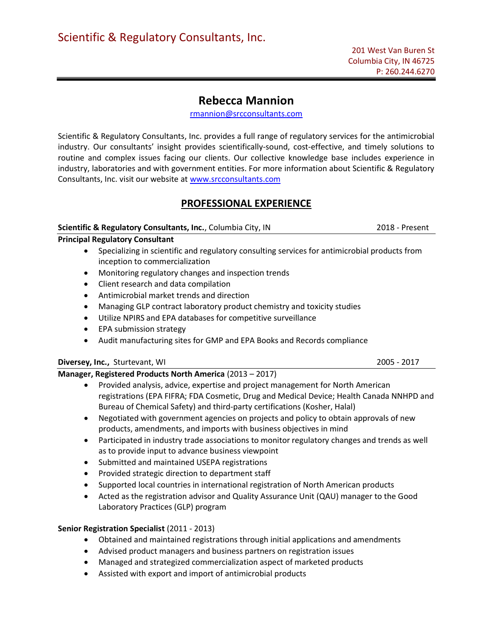# Rebecca Mannion

rmannion@srcconsultants.com

Scientific & Regulatory Consultants, Inc. provides a full range of regulatory services for the antimicrobial industry. Our consultants' insight provides scientifically-sound, cost-effective, and timely solutions to routine and complex issues facing our clients. Our collective knowledge base includes experience in industry, laboratories and with government entities. For more information about Scientific & Regulatory Consultants, Inc. visit our website at www.srcconsultants.com

# PROFESSIONAL EXPERIENCE

## Scientific & Regulatory Consultants, Inc., Columbia City, IN 2018 - Present

## Principal Regulatory Consultant

- Specializing in scientific and regulatory consulting services for antimicrobial products from inception to commercialization
- Monitoring regulatory changes and inspection trends
- Client research and data compilation
- Antimicrobial market trends and direction
- Managing GLP contract laboratory product chemistry and toxicity studies
- Utilize NPIRS and EPA databases for competitive surveillance
- EPA submission strategy
- Audit manufacturing sites for GMP and EPA Books and Records compliance

## Diversey, Inc., Sturtevant, WI 2005 - 2017

## Manager, Registered Products North America (2013 – 2017)

- Provided analysis, advice, expertise and project management for North American registrations (EPA FIFRA; FDA Cosmetic, Drug and Medical Device; Health Canada NNHPD and Bureau of Chemical Safety) and third-party certifications (Kosher, Halal)
- Negotiated with government agencies on projects and policy to obtain approvals of new products, amendments, and imports with business objectives in mind
- Participated in industry trade associations to monitor regulatory changes and trends as well as to provide input to advance business viewpoint
- Submitted and maintained USEPA registrations
- Provided strategic direction to department staff
- Supported local countries in international registration of North American products
- Acted as the registration advisor and Quality Assurance Unit (QAU) manager to the Good Laboratory Practices (GLP) program

## Senior Registration Specialist (2011 - 2013)

- Obtained and maintained registrations through initial applications and amendments
- Advised product managers and business partners on registration issues
- Managed and strategized commercialization aspect of marketed products
- Assisted with export and import of antimicrobial products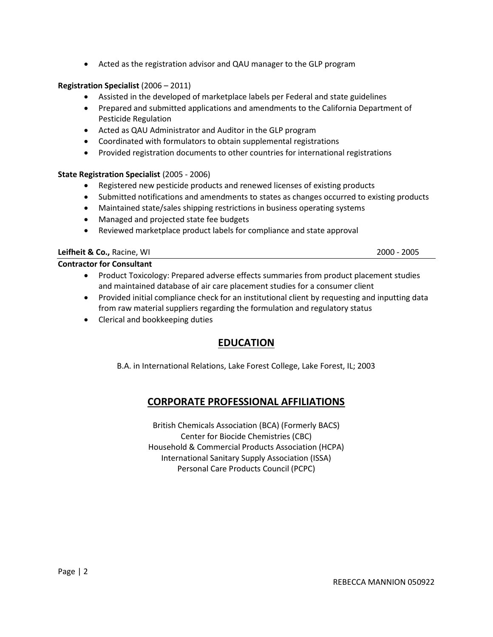Acted as the registration advisor and QAU manager to the GLP program

## Registration Specialist (2006 – 2011)

- Assisted in the developed of marketplace labels per Federal and state guidelines
- Prepared and submitted applications and amendments to the California Department of Pesticide Regulation
- Acted as QAU Administrator and Auditor in the GLP program
- Coordinated with formulators to obtain supplemental registrations
- Provided registration documents to other countries for international registrations

## State Registration Specialist (2005 - 2006)

- Registered new pesticide products and renewed licenses of existing products
- Submitted notifications and amendments to states as changes occurred to existing products
- Maintained state/sales shipping restrictions in business operating systems
- Managed and projected state fee budgets
- Reviewed marketplace product labels for compliance and state approval

## Leifheit & Co., Racine, WI 2000 - 2005

## Contractor for Consultant

- Product Toxicology: Prepared adverse effects summaries from product placement studies and maintained database of air care placement studies for a consumer client
- Provided initial compliance check for an institutional client by requesting and inputting data from raw material suppliers regarding the formulation and regulatory status
- Clerical and bookkeeping duties

# EDUCATION

B.A. in International Relations, Lake Forest College, Lake Forest, IL; 2003

# CORPORATE PROFESSIONAL AFFILIATIONS

British Chemicals Association (BCA) (Formerly BACS) Center for Biocide Chemistries (CBC) Household & Commercial Products Association (HCPA) International Sanitary Supply Association (ISSA) Personal Care Products Council (PCPC)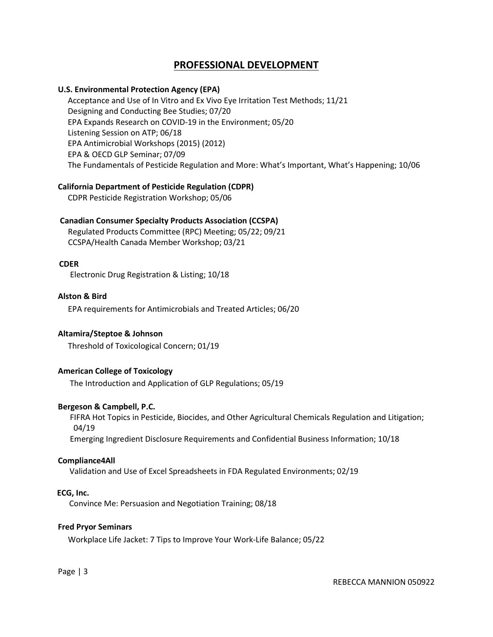## PROFESSIONAL DEVELOPMENT

## U.S. Environmental Protection Agency (EPA)

Acceptance and Use of In Vitro and Ex Vivo Eye Irritation Test Methods; 11/21 Designing and Conducting Bee Studies; 07/20 EPA Expands Research on COVID-19 in the Environment; 05/20 Listening Session on ATP; 06/18 EPA Antimicrobial Workshops (2015) (2012) EPA & OECD GLP Seminar; 07/09 The Fundamentals of Pesticide Regulation and More: What's Important, What's Happening; 10/06

#### California Department of Pesticide Regulation (CDPR)

CDPR Pesticide Registration Workshop; 05/06

## Canadian Consumer Specialty Products Association (CCSPA)

 Regulated Products Committee (RPC) Meeting; 05/22; 09/21 CCSPA/Health Canada Member Workshop; 03/21

#### CDER

Electronic Drug Registration & Listing; 10/18

## Alston & Bird

EPA requirements for Antimicrobials and Treated Articles; 06/20

#### Altamira/Steptoe & Johnson

Threshold of Toxicological Concern; 01/19

#### American College of Toxicology

The Introduction and Application of GLP Regulations; 05/19

#### Bergeson & Campbell, P.C.

 FIFRA Hot Topics in Pesticide, Biocides, and Other Agricultural Chemicals Regulation and Litigation; 04/19 Emerging Ingredient Disclosure Requirements and Confidential Business Information; 10/18

#### Compliance4All

Validation and Use of Excel Spreadsheets in FDA Regulated Environments; 02/19

#### ECG, Inc.

Convince Me: Persuasion and Negotiation Training; 08/18

#### Fred Pryor Seminars

Workplace Life Jacket: 7 Tips to Improve Your Work-Life Balance; 05/22

Page | 3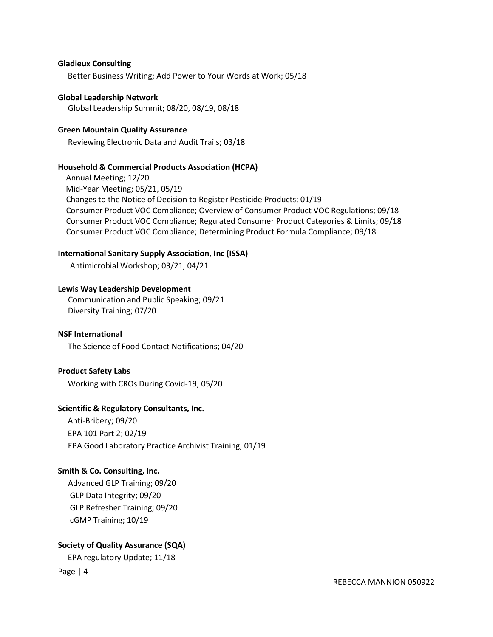#### Gladieux Consulting

Better Business Writing; Add Power to Your Words at Work; 05/18

Global Leadership Network Global Leadership Summit; 08/20, 08/19, 08/18

#### Green Mountain Quality Assurance

Reviewing Electronic Data and Audit Trails; 03/18

#### Household & Commercial Products Association (HCPA)

 Annual Meeting; 12/20 Mid-Year Meeting; 05/21, 05/19 Changes to the Notice of Decision to Register Pesticide Products; 01/19 Consumer Product VOC Compliance; Overview of Consumer Product VOC Regulations; 09/18 Consumer Product VOC Compliance; Regulated Consumer Product Categories & Limits; 09/18 Consumer Product VOC Compliance; Determining Product Formula Compliance; 09/18

#### International Sanitary Supply Association, Inc (ISSA)

Antimicrobial Workshop; 03/21, 04/21

#### Lewis Way Leadership Development

 Communication and Public Speaking; 09/21 Diversity Training; 07/20

#### NSF International

The Science of Food Contact Notifications; 04/20

## Product Safety Labs

Working with CROs During Covid-19; 05/20

#### Scientific & Regulatory Consultants, Inc.

Anti-Bribery; 09/20 EPA 101 Part 2; 02/19 EPA Good Laboratory Practice Archivist Training; 01/19

## Smith & Co. Consulting, Inc.

 Advanced GLP Training; 09/20 GLP Data Integrity; 09/20 GLP Refresher Training; 09/20 cGMP Training; 10/19

## Society of Quality Assurance (SQA)

EPA regulatory Update; 11/18

Page | 4